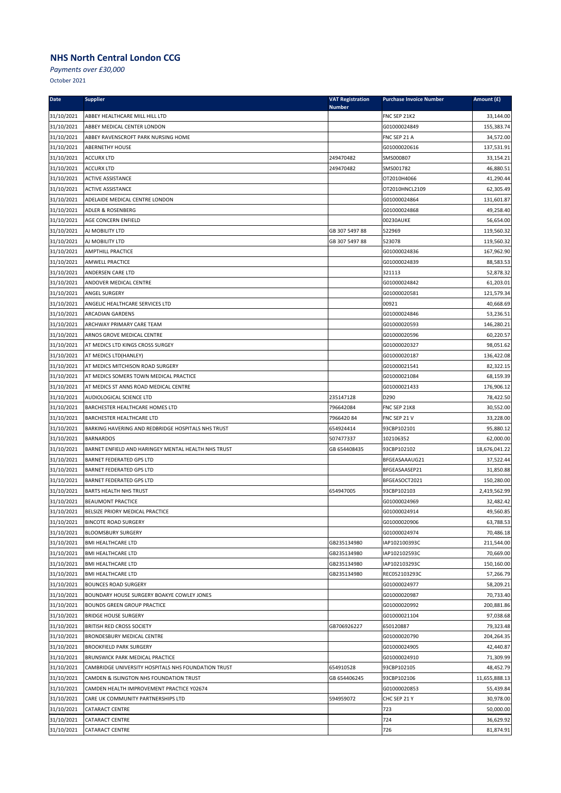*Payments over £30,000*

| <b>Date</b> | <b>Supplier</b>                                     | <b>VAT Registration</b> | <b>Purchase Invoice Number</b> | Amount (£)    |
|-------------|-----------------------------------------------------|-------------------------|--------------------------------|---------------|
| 31/10/2021  | ABBEY HEALTHCARE MILL HILL LTD                      | <b>Number</b>           | FNC SEP 21K2                   | 33,144.00     |
| 31/10/2021  | ABBEY MEDICAL CENTER LONDON                         |                         | G01000024849                   | 155,383.74    |
| 31/10/2021  | ABBEY RAVENSCROFT PARK NURSING HOME                 |                         | FNC SEP 21 A                   | 34,572.00     |
| 31/10/2021  | ABERNETHY HOUSE                                     |                         | G01000020616                   | 137,531.91    |
| 31/10/2021  | <b>ACCURX LTD</b>                                   | 249470482               | SMS000807                      | 33,154.21     |
| 31/10/2021  | <b>ACCURX LTD</b>                                   | 249470482               | SMS001782                      | 46,880.51     |
| 31/10/2021  | <b>ACTIVE ASSISTANCE</b>                            |                         | OT2010H4066                    | 41,290.44     |
| 31/10/2021  | <b>ACTIVE ASSISTANCE</b>                            |                         | OT2010HNCL2109                 | 62,305.49     |
| 31/10/2021  | ADELAIDE MEDICAL CENTRE LONDON                      |                         | G01000024864                   | 131,601.87    |
| 31/10/2021  | <b>ADLER &amp; ROSENBERG</b>                        |                         | G01000024868                   | 49,258.40     |
| 31/10/2021  | AGE CONCERN ENFIELD                                 |                         | 00230AUKE                      | 56,654.00     |
| 31/10/2021  | AJ MOBILITY LTD                                     | GB 307 5497 88          | 522969                         | 119,560.32    |
| 31/10/2021  | AJ MOBILITY LTD                                     | GB 307 5497 88          | 523078                         | 119,560.32    |
| 31/10/2021  | <b>AMPTHILL PRACTICE</b>                            |                         | G01000024836                   | 167,962.90    |
| 31/10/2021  | <b>AMWELL PRACTICE</b>                              |                         | G01000024839                   | 88,583.53     |
| 31/10/2021  | ANDERSEN CARE LTD                                   |                         | 321113                         | 52,878.32     |
| 31/10/2021  | ANDOVER MEDICAL CENTRE                              |                         | G01000024842                   | 61,203.01     |
| 31/10/2021  | ANGEL SURGERY                                       |                         | G01000020581                   | 121,579.34    |
| 31/10/2021  | ANGELIC HEALTHCARE SERVICES LTD                     |                         | 00921                          | 40,668.69     |
| 31/10/2021  | ARCADIAN GARDENS                                    |                         | G01000024846                   | 53,236.51     |
| 31/10/2021  | ARCHWAY PRIMARY CARE TEAM                           |                         | G01000020593                   | 146,280.21    |
| 31/10/2021  | ARNOS GROVE MEDICAL CENTRE                          |                         | G01000020596                   | 60,220.57     |
| 31/10/2021  | AT MEDICS LTD KINGS CROSS SURGEY                    |                         | G01000020327                   | 98,051.62     |
| 31/10/2021  | AT MEDICS LTD(HANLEY)                               |                         | G01000020187                   | 136,422.08    |
| 31/10/2021  | AT MEDICS MITCHISON ROAD SURGERY                    |                         | G01000021541                   | 82,322.15     |
| 31/10/2021  | AT MEDICS SOMERS TOWN MEDICAL PRACTICE              |                         | G01000021084                   | 68,159.39     |
| 31/10/2021  | AT MEDICS ST ANNS ROAD MEDICAL CENTRE               |                         | G01000021433                   | 176,906.12    |
| 31/10/2021  | AUDIOLOGICAL SCIENCE LTD                            | 235147128               | D290                           | 78,422.50     |
| 31/10/2021  | BARCHESTER HEALTHCARE HOMES LTD                     | 796642084               | FNC SEP 21K8                   | 30,552.00     |
| 31/10/2021  | BARCHESTER HEALTHCARE LTD                           | 796642084               | FNC SEP 21 V                   | 33,228.00     |
| 31/10/2021  | BARKING HAVERING AND REDBRIDGE HOSPITALS NHS TRUST  | 654924414               | 93CBP102101                    | 95,880.12     |
| 31/10/2021  | <b>BARNARDOS</b>                                    | 507477337               | 102106352                      | 62,000.00     |
| 31/10/2021  | BARNET ENFIELD AND HARINGEY MENTAL HEALTH NHS TRUST | GB 654408435            | 93CBP102102                    | 18,676,041.22 |
| 31/10/2021  | <b>BARNET FEDERATED GPS LTD</b>                     |                         | BFGEASAAAUG21                  | 37,522.44     |
| 31/10/2021  | <b>BARNET FEDERATED GPS LTD</b>                     |                         | BFGEASAASEP21                  | 31,850.88     |
| 31/10/2021  | <b>BARNET FEDERATED GPS LTD</b>                     |                         | BFGEASOCT2021                  | 150,280.00    |
| 31/10/2021  | <b>BARTS HEALTH NHS TRUST</b>                       | 654947005               | 93CBP102103                    | 2,419,562.99  |
| 31/10/2021  | <b>BEAUMONT PRACTICE</b>                            |                         | G01000024969                   | 32,482.42     |
| 31/10/2021  | BELSIZE PRIORY MEDICAL PRACTICE                     |                         | G01000024914                   | 49,560.85     |
| 31/10/2021  | <b>BINCOTE ROAD SURGERY</b>                         |                         | G01000020906                   | 63,788.53     |
| 31/10/2021  | <b>BLOOMSBURY SURGERY</b>                           |                         | G01000024974                   | 70,486.18     |
| 31/10/2021  | <b>BMI HEALTHCARE LTD</b>                           | GB235134980             | IAP102100393C                  | 211,544.00    |
| 31/10/2021  | <b>BMI HEALTHCARE LTD</b>                           | GB235134980             | IAP102102593C                  | 70,669.00     |
| 31/10/2021  | <b>BMI HEALTHCARE LTD</b>                           | GB235134980             | IAP102103293C                  | 150,160.00    |
| 31/10/2021  | <b>BMI HEALTHCARE LTD</b>                           | GB235134980             | REC052103293C                  | 57,266.79     |
| 31/10/2021  | <b>BOUNCES ROAD SURGERY</b>                         |                         | G01000024977                   | 58,209.21     |
| 31/10/2021  | BOUNDARY HOUSE SURGERY BOAKYE COWLEY JONES          |                         | G01000020987                   | 70,733.40     |
| 31/10/2021  | <b>BOUNDS GREEN GROUP PRACTICE</b>                  |                         | G01000020992                   | 200,881.86    |
| 31/10/2021  | <b>BRIDGE HOUSE SURGERY</b>                         |                         | G01000021104                   | 97,038.68     |
| 31/10/2021  | BRITISH RED CROSS SOCIETY                           | GB706926227             | 650120887                      | 79,323.48     |
| 31/10/2021  | BRONDESBURY MEDICAL CENTRE                          |                         | G01000020790                   | 204,264.35    |
| 31/10/2021  | <b>BROOKFIELD PARK SURGERY</b>                      |                         | G01000024905                   | 42,440.87     |
| 31/10/2021  | <b>BRUNSWICK PARK MEDICAL PRACTICE</b>              |                         | G01000024910                   | 71,309.99     |
| 31/10/2021  | CAMBRIDGE UNIVERSITY HOSPITALS NHS FOUNDATION TRUST | 654910528               | 93CBP102105                    | 48,452.79     |
| 31/10/2021  | CAMDEN & ISLINGTON NHS FOUNDATION TRUST             | GB 654406245            | 93CBP102106                    | 11,655,888.13 |
| 31/10/2021  | CAMDEN HEALTH IMPROVEMENT PRACTICE Y02674           |                         | G01000020853                   | 55,439.84     |
| 31/10/2021  | CARE UK COMMUNITY PARTNERSHIPS LTD                  | 594959072               | CHC SEP 21 Y                   | 30,978.00     |
| 31/10/2021  | CATARACT CENTRE                                     |                         | 723                            | 50,000.00     |
| 31/10/2021  | <b>CATARACT CENTRE</b>                              |                         | 724                            | 36,629.92     |
| 31/10/2021  | CATARACT CENTRE                                     |                         | 726                            | 81,874.91     |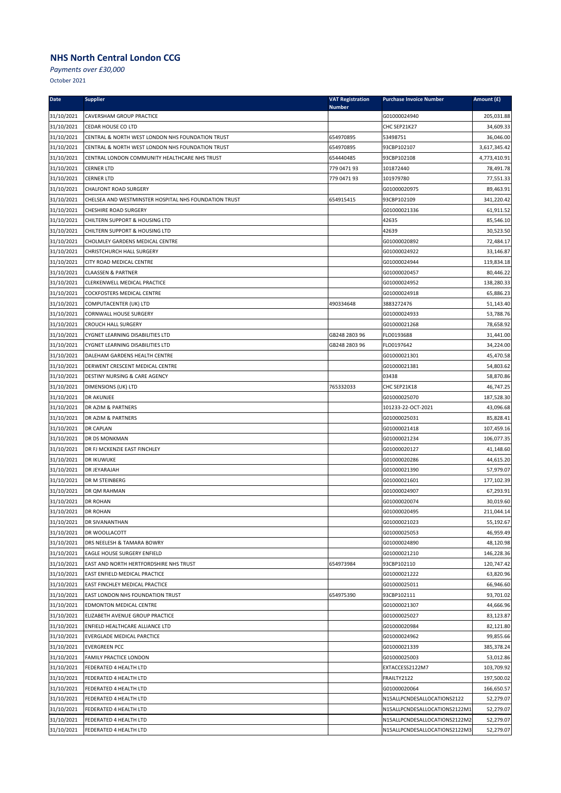*Payments over £30,000*

| <b>Date</b> | <b>Supplier</b>                                       | <b>VAT Registration</b> | <b>Purchase Invoice Number</b> | Amount (£)   |
|-------------|-------------------------------------------------------|-------------------------|--------------------------------|--------------|
| 31/10/2021  | CAVERSHAM GROUP PRACTICE                              | Number                  | G01000024940                   | 205,031.88   |
| 31/10/2021  | CEDAR HOUSE CO LTD                                    |                         | CHC SEP21K27                   | 34,609.33    |
| 31/10/2021  | CENTRAL & NORTH WEST LONDON NHS FOUNDATION TRUST      | 654970895               | 53498751                       | 36,046.00    |
| 31/10/2021  | CENTRAL & NORTH WEST LONDON NHS FOUNDATION TRUST      | 654970895               | 93CBP102107                    | 3,617,345.42 |
| 31/10/2021  | CENTRAL LONDON COMMUNITY HEALTHCARE NHS TRUST         | 654440485               | 93CBP102108                    | 4,773,410.91 |
| 31/10/2021  | <b>CERNER LTD</b>                                     | 779 0471 93             | 101872440                      | 78,491.78    |
| 31/10/2021  | <b>CERNER LTD</b>                                     | 779 0471 93             | 101979780                      | 77,551.33    |
| 31/10/2021  | <b>CHALFONT ROAD SURGERY</b>                          |                         | G01000020975                   | 89,463.91    |
| 31/10/2021  | CHELSEA AND WESTMINSTER HOSPITAL NHS FOUNDATION TRUST | 654915415               | 93CBP102109                    | 341,220.42   |
| 31/10/2021  | CHESHIRE ROAD SURGERY                                 |                         | G01000021336                   | 61,911.52    |
| 31/10/2021  | CHILTERN SUPPORT & HOUSING LTD                        |                         | 42635                          | 85,546.10    |
| 31/10/2021  | CHILTERN SUPPORT & HOUSING LTD                        |                         | 42639                          | 30,523.50    |
| 31/10/2021  | CHOLMLEY GARDENS MEDICAL CENTRE                       |                         | G01000020892                   | 72,484.17    |
| 31/10/2021  | CHRISTCHURCH HALL SURGERY                             |                         | G01000024922                   | 33,146.87    |
| 31/10/2021  | CITY ROAD MEDICAL CENTRE                              |                         | G01000024944                   | 119,834.18   |
| 31/10/2021  | <b>CLAASSEN &amp; PARTNER</b>                         |                         | G01000020457                   | 80,446.22    |
| 31/10/2021  | CLERKENWELL MEDICAL PRACTICE                          |                         | G01000024952                   | 138,280.33   |
| 31/10/2021  | COCKFOSTERS MEDICAL CENTRE                            |                         | G01000024918                   | 65,886.23    |
| 31/10/2021  | COMPUTACENTER (UK) LTD                                | 490334648               | 3883272476                     | 51,143.40    |
| 31/10/2021  | CORNWALL HOUSE SURGERY                                |                         | G01000024933                   | 53,788.76    |
| 31/10/2021  | <b>CROUCH HALL SURGERY</b>                            |                         | G01000021268                   | 78,658.92    |
| 31/10/2021  | CYGNET LEARNING DISABILITIES LTD                      | GB248 2803 96           | FLO0193688                     | 31,441.00    |
| 31/10/2021  | CYGNET LEARNING DISABILITIES LTD                      | GB248 2803 96           | FLO0197642                     | 34,224.00    |
| 31/10/2021  | DALEHAM GARDENS HEALTH CENTRE                         |                         | G01000021301                   | 45,470.58    |
| 31/10/2021  | DERWENT CRESCENT MEDICAL CENTRE                       |                         | G01000021381                   | 54,803.62    |
| 31/10/2021  | DESTINY NURSING & CARE AGENCY                         |                         | 03438                          | 58,870.86    |
| 31/10/2021  | DIMENSIONS (UK) LTD                                   | 765332033               | CHC SEP21K18                   | 46,747.25    |
| 31/10/2021  | DR AKUNJEE                                            |                         | G01000025070                   | 187,528.30   |
| 31/10/2021  | DR AZIM & PARTNERS                                    |                         | 101233-22-OCT-2021             | 43,096.68    |
| 31/10/2021  | DR AZIM & PARTNERS                                    |                         | G01000025031                   | 85,828.41    |
| 31/10/2021  | DR CAPLAN                                             |                         | G01000021418                   | 107,459.16   |
| 31/10/2021  | DR DS MONKMAN                                         |                         | G01000021234                   | 106,077.35   |
| 31/10/2021  | DR FJ MCKENZIE EAST FINCHLEY                          |                         | G01000020127                   | 41,148.60    |
| 31/10/2021  | <b>DR IKUWUKE</b>                                     |                         | G01000020286                   | 44,615.20    |
| 31/10/2021  | DR JEYARAJAH                                          |                         | G01000021390                   | 57,979.07    |
| 31/10/2021  | DR M STEINBERG                                        |                         | G01000021601                   | 177,102.39   |
| 31/10/2021  | DR QM RAHMAN                                          |                         | G01000024907                   | 67,293.91    |
| 31/10/2021  | <b>DR ROHAN</b>                                       |                         | G01000020074                   | 30,019.60    |
| 31/10/2021  | <b>DR ROHAN</b>                                       |                         | G01000020495                   | 211,044.14   |
| 31/10/2021  | DR SIVANANTHAN                                        |                         | G01000021023                   | 55,192.67    |
| 31/10/2021  | DR WOOLLACOTT                                         |                         | G01000025053                   | 46,959.49    |
| 31/10/2021  | DRS NEELESH & TAMARA BOWRY                            |                         | G01000024890                   | 48,120.98    |
| 31/10/2021  | EAGLE HOUSE SURGERY ENFIELD                           |                         | G01000021210                   | 146,228.36   |
| 31/10/2021  | EAST AND NORTH HERTFORDSHIRE NHS TRUST                | 654973984               | 93CBP102110                    | 120,747.42   |
| 31/10/2021  | EAST ENFIELD MEDICAL PRACTICE                         |                         | G01000021222                   | 63,820.96    |
| 31/10/2021  | EAST FINCHLEY MEDICAL PRACTICE                        |                         | G01000025011                   | 66,946.60    |
| 31/10/2021  | EAST LONDON NHS FOUNDATION TRUST                      | 654975390               | 93CBP102111                    | 93,701.02    |
| 31/10/2021  | EDMONTON MEDICAL CENTRE                               |                         | G01000021307                   | 44,666.96    |
| 31/10/2021  | ELIZABETH AVENUE GROUP PRACTICE                       |                         | G01000025027                   | 83,123.87    |
| 31/10/2021  | ENFIELD HEALTHCARE ALLIANCE LTD                       |                         | G01000020984                   | 82,121.80    |
| 31/10/2021  | EVERGLADE MEDICAL PARCTICE                            |                         | G01000024962                   | 99,855.66    |
| 31/10/2021  | <b>EVERGREEN PCC</b>                                  |                         | G01000021339                   | 385,378.24   |
| 31/10/2021  | FAMILY PRACTICE LONDON                                |                         | G01000025003                   | 53,012.86    |
| 31/10/2021  | FEDERATED 4 HEALTH LTD                                |                         | EXTACCESS2122M7                | 103,709.92   |
| 31/10/2021  | FEDERATED 4 HEALTH LTD                                |                         | FRAILTY2122                    | 197,500.02   |
| 31/10/2021  | FEDERATED 4 HEALTH LTD                                |                         | G01000020064                   | 166,650.57   |
| 31/10/2021  | FEDERATED 4 HEALTH LTD                                |                         | N15ALLPCNDESALLOCATIONS2122    | 52,279.07    |
| 31/10/2021  | FEDERATED 4 HEALTH LTD                                |                         | N15ALLPCNDESALLOCATIONS2122M1  | 52,279.07    |
| 31/10/2021  | FEDERATED 4 HEALTH LTD                                |                         | N15ALLPCNDESALLOCATIONS2122M2  | 52,279.07    |
| 31/10/2021  | FEDERATED 4 HEALTH LTD                                |                         | N15ALLPCNDESALLOCATIONS2122M3  | 52,279.07    |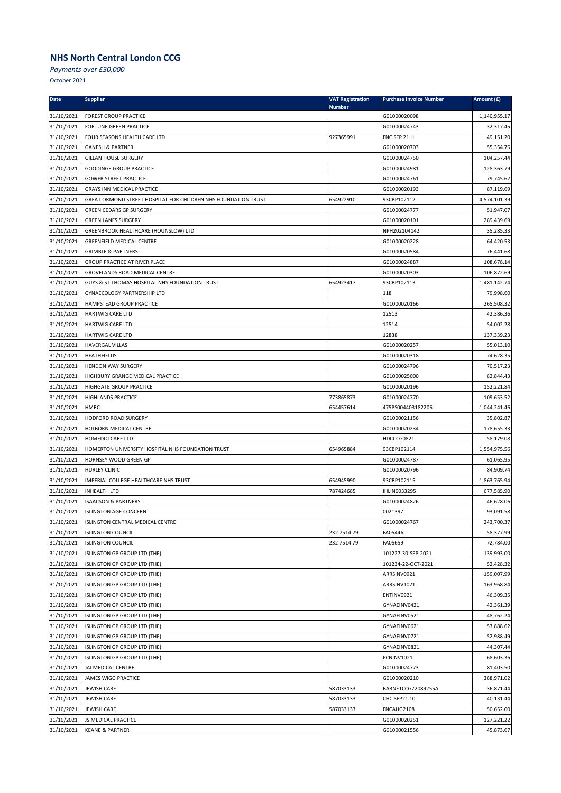*Payments over £30,000*

| Date       | <b>Supplier</b>                                                | <b>VAT Registration</b><br><b>Number</b> | <b>Purchase Invoice Number</b> | Amount (£)   |
|------------|----------------------------------------------------------------|------------------------------------------|--------------------------------|--------------|
| 31/10/2021 | <b>FOREST GROUP PRACTICE</b>                                   |                                          | G01000020098                   | 1,140,955.17 |
| 31/10/2021 | <b>FORTUNE GREEN PRACTICE</b>                                  |                                          | G01000024743                   | 32,317.45    |
| 31/10/2021 | FOUR SEASONS HEALTH CARE LTD                                   | 927365991                                | FNC SEP 21 H                   | 49,151.20    |
| 31/10/2021 | <b>GANESH &amp; PARTNER</b>                                    |                                          | G01000020703                   | 55,354.76    |
| 31/10/2021 | <b>GILLAN HOUSE SURGERY</b>                                    |                                          | G01000024750                   | 104,257.44   |
| 31/10/2021 | <b>GOODINGE GROUP PRACTICE</b>                                 |                                          | G01000024981                   | 128,363.79   |
| 31/10/2021 | <b>GOWER STREET PRACTICE</b>                                   |                                          | G01000024761                   | 79,745.62    |
| 31/10/2021 | <b>GRAYS INN MEDICAL PRACTICE</b>                              |                                          | G01000020193                   | 87,119.69    |
| 31/10/2021 | GREAT ORMOND STREET HOSPITAL FOR CHILDREN NHS FOUNDATION TRUST | 654922910                                | 93CBP102112                    | 4,574,101.39 |
| 31/10/2021 | <b>GREEN CEDARS GP SURGERY</b>                                 |                                          | G01000024777                   | 51,947.07    |
| 31/10/2021 | <b>GREEN LANES SURGERY</b>                                     |                                          | G01000020101                   | 289,439.69   |
| 31/10/2021 | GREENBROOK HEALTHCARE (HOUNSLOW) LTD                           |                                          | NPH202104142                   | 35,285.33    |
| 31/10/2021 | <b>GREENFIELD MEDICAL CENTRE</b>                               |                                          | G01000020228                   | 64,420.53    |
| 31/10/2021 | <b>GRIMBLE &amp; PARTNERS</b>                                  |                                          | G01000020584                   | 76,441.68    |
| 31/10/2021 | <b>GROUP PRACTICE AT RIVER PLACE</b>                           |                                          | G01000024887                   | 108,678.14   |
| 31/10/2021 | GROVELANDS ROAD MEDICAL CENTRE                                 |                                          | G01000020303                   | 106,872.69   |
| 31/10/2021 | GUYS & ST THOMAS HOSPITAL NHS FOUNDATION TRUST                 | 654923417                                | 93CBP102113                    | 1,481,142.74 |
| 31/10/2021 | GYNAECOLOGY PARTNERSHIP LTD                                    |                                          | 118                            | 79,998.60    |
| 31/10/2021 | HAMPSTEAD GROUP PRACTICE                                       |                                          | G01000020166                   | 265,508.32   |
| 31/10/2021 | <b>HARTWIG CARE LTD</b>                                        |                                          | 12513                          | 42,386.36    |
| 31/10/2021 | <b>HARTWIG CARE LTD</b>                                        |                                          | 12514                          | 54,002.28    |
| 31/10/2021 | <b>HARTWIG CARE LTD</b>                                        |                                          | 12838                          | 137,339.23   |
| 31/10/2021 | HAVERGAL VILLAS                                                |                                          | G01000020257                   | 55,013.10    |
| 31/10/2021 | <b>HEATHFIELDS</b>                                             |                                          | G01000020318                   | 74,628.35    |
| 31/10/2021 | <b>HENDON WAY SURGERY</b>                                      |                                          | G01000024796                   | 70,517.23    |
| 31/10/2021 | HIGHBURY GRANGE MEDICAL PRACTICE                               |                                          | G01000025000                   | 82,844.43    |
| 31/10/2021 | HIGHGATE GROUP PRACTICE                                        |                                          | G01000020196                   | 152,221.84   |
| 31/10/2021 | <b>HIGHLANDS PRACTICE</b>                                      | 773865873                                | G01000024770                   | 109,653.52   |
| 31/10/2021 | HMRC                                                           | 654457614                                | 475PS004403182206              | 1,044,241.46 |
| 31/10/2021 | HODFORD ROAD SURGERY                                           |                                          | G01000021156                   | 35,802.87    |
| 31/10/2021 | HOLBORN MEDICAL CENTRE                                         |                                          | G01000020234                   | 178,655.33   |
| 31/10/2021 | HOMEDOTCARE LTD                                                |                                          | HDCCCG0821                     | 58,179.08    |
| 31/10/2021 | HOMERTON UNIVERSITY HOSPITAL NHS FOUNDATION TRUST              | 654965884                                | 93CBP102114                    | 1,554,975.56 |
| 31/10/2021 | HORNSEY WOOD GREEN GP                                          |                                          | G01000024787                   | 61,065.95    |
| 31/10/2021 | HURLEY CLINIC                                                  |                                          | G01000020796                   | 84,909.74    |
| 31/10/2021 | IMPERIAL COLLEGE HEALTHCARE NHS TRUST                          | 654945990                                | 93CBP102115                    | 1,863,765.94 |
| 31/10/2021 | <b>INHEALTH LTD</b>                                            | 787424685                                | IHLIN0033295                   | 677,585.90   |
| 31/10/2021 | <b>ISAACSON &amp; PARTNERS</b>                                 |                                          | G01000024826                   | 46,628.06    |
| 31/10/2021 | <b>ISLINGTON AGE CONCERN</b>                                   |                                          | 0021397                        | 93,091.58    |
| 31/10/2021 | ISLINGTON CENTRAL MEDICAL CENTRE                               |                                          | G01000024767                   | 243,700.37   |
| 31/10/2021 | <b>ISLINGTON COUNCIL</b>                                       | 232 7514 79                              | FA05446                        | 58,377.99    |
| 31/10/2021 | <b>ISLINGTON COUNCIL</b>                                       | 232 7514 79                              | FA05659                        | 72,784.00    |
| 31/10/2021 | ISLINGTON GP GROUP LTD (THE)                                   |                                          | 101227-30-SEP-2021             | 139,993.00   |
| 31/10/2021 | ISLINGTON GP GROUP LTD (THE)                                   |                                          | 101234-22-OCT-2021             | 52,428.32    |
| 31/10/2021 | ISLINGTON GP GROUP LTD (THE)                                   |                                          | ARRSINV0921                    | 159,007.99   |
| 31/10/2021 | ISLINGTON GP GROUP LTD (THE)                                   |                                          | ARRSINV1021                    | 163,968.84   |
| 31/10/2021 | ISLINGTON GP GROUP LTD (THE)                                   |                                          | ENTINV0921                     | 46,309.35    |
| 31/10/2021 | ISLINGTON GP GROUP LTD (THE)                                   |                                          | GYNAEINV0421                   | 42,361.39    |
| 31/10/2021 | ISLINGTON GP GROUP LTD (THE)                                   |                                          | GYNAEINV0521                   | 48,762.24    |
| 31/10/2021 | ISLINGTON GP GROUP LTD (THE)                                   |                                          | GYNAEINV0621                   | 53,888.62    |
| 31/10/2021 | ISLINGTON GP GROUP LTD (THE)                                   |                                          | GYNAEINV0721                   | 52,988.49    |
| 31/10/2021 | ISLINGTON GP GROUP LTD (THE)                                   |                                          | GYNAEINV0821                   | 44,307.44    |
| 31/10/2021 | ISLINGTON GP GROUP LTD (THE)                                   |                                          | PCNINV1021                     | 68,603.36    |
| 31/10/2021 | JAI MEDICAL CENTRE                                             |                                          | G01000024773                   | 81,403.50    |
| 31/10/2021 | JAMES WIGG PRACTICE                                            |                                          | G01000020210                   | 388,971.02   |
| 31/10/2021 | JEWISH CARE                                                    | 587033133                                | BARNETCCG72089255A             | 36,871.44    |
| 31/10/2021 | <b>JEWISH CARE</b>                                             | 587033133                                | <b>CHC SEP21 10</b>            | 40,131.44    |
| 31/10/2021 | JEWISH CARE                                                    | 587033133                                | FNCAUG2108                     | 50,652.00    |
| 31/10/2021 | JS MEDICAL PRACTICE                                            |                                          | G01000020251                   | 127,221.22   |
| 31/10/2021 | <b>KEANE &amp; PARTNER</b>                                     |                                          | G01000021556                   | 45,873.67    |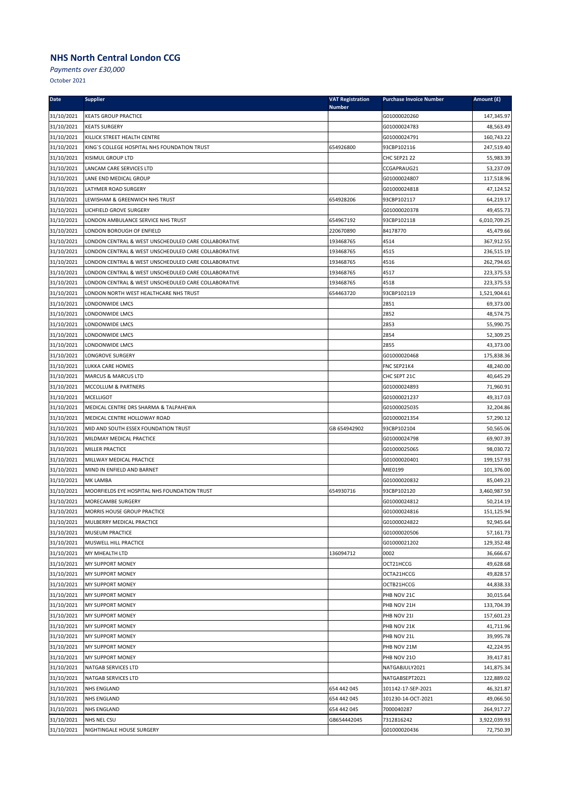*Payments over £30,000*

| Date                     | <b>Supplier</b>                                      | <b>VAT Registration</b> | <b>Purchase Invoice Number</b> | Amount (£)              |
|--------------------------|------------------------------------------------------|-------------------------|--------------------------------|-------------------------|
| 31/10/2021               | <b>KEATS GROUP PRACTICE</b>                          | <b>Number</b>           | G01000020260                   | 147,345.97              |
| 31/10/2021               | <b>KEATS SURGERY</b>                                 |                         | G01000024783                   | 48,563.49               |
| 31/10/2021               | KILLICK STREET HEALTH CENTRE                         |                         | G01000024791                   | 160,743.22              |
| 31/10/2021               | KING'S COLLEGE HOSPITAL NHS FOUNDATION TRUST         | 654926800               | 93CBP102116                    | 247,519.40              |
| 31/10/2021               | <b>KISIMUL GROUP LTD</b>                             |                         | <b>CHC SEP21 22</b>            | 55,983.39               |
| 31/10/2021               | LANCAM CARE SERVICES LTD                             |                         | CCGAPRAUG21                    | 53,237.09               |
| 31/10/2021               | LANE END MEDICAL GROUP                               |                         | G01000024807                   | 117,518.96              |
| 31/10/2021               | LATYMER ROAD SURGERY                                 |                         | G01000024818                   | 47,124.52               |
| 31/10/2021               | LEWISHAM & GREENWICH NHS TRUST                       | 654928206               | 93CBP102117                    | 64,219.17               |
| 31/10/2021               | LICHFIELD GROVE SURGERY                              |                         | G01000020378                   | 49,455.73               |
| 31/10/2021               | LONDON AMBULANCE SERVICE NHS TRUST                   | 654967192               | 93CBP102118                    | 6,010,709.25            |
| 31/10/2021               | LONDON BOROUGH OF ENFIELD                            | 220670890               | 84178770                       | 45,479.66               |
| 31/10/2021               | LONDON CENTRAL & WEST UNSCHEDULED CARE COLLABORATIVE | 193468765               | 4514                           | 367,912.55              |
| 31/10/2021               | LONDON CENTRAL & WEST UNSCHEDULED CARE COLLABORATIVE | 193468765               | 4515                           | 236,515.19              |
| 31/10/2021               | LONDON CENTRAL & WEST UNSCHEDULED CARE COLLABORATIVE | 193468765               | 4516                           | 262,794.65              |
| 31/10/2021               | LONDON CENTRAL & WEST UNSCHEDULED CARE COLLABORATIVE | 193468765               | 4517                           | 223,375.53              |
| 31/10/2021               | LONDON CENTRAL & WEST UNSCHEDULED CARE COLLABORATIVE | 193468765               | 4518                           | 223,375.53              |
| 31/10/2021               | LONDON NORTH WEST HEALTHCARE NHS TRUST               | 654463720               | 93CBP102119                    | 1,521,904.61            |
| 31/10/2021               | LONDONWIDE LMCS                                      |                         | 2851                           | 69,373.00               |
| 31/10/2021               | LONDONWIDE LMCS                                      |                         | 2852                           | 48,574.75               |
| 31/10/2021               | LONDONWIDE LMCS                                      |                         | 2853                           | 55,990.75               |
| 31/10/2021               | LONDONWIDE LMCS                                      |                         | 2854                           | 52,309.25               |
| 31/10/2021               | LONDONWIDE LMCS                                      |                         | 2855                           | 43,373.00               |
| 31/10/2021               | <b>LONGROVE SURGERY</b>                              |                         | G01000020468                   | 175,838.36              |
| 31/10/2021               | LUKKA CARE HOMES                                     |                         | FNC SEP21K4                    | 48,240.00               |
| 31/10/2021               | <b>MARCUS &amp; MARCUS LTD</b>                       |                         | CHC SEPT 21C                   | 40,645.29               |
| 31/10/2021               | MCCOLLUM & PARTNERS                                  |                         | G01000024893                   | 71,960.91               |
| 31/10/2021               | <b>MCELLIGOT</b>                                     |                         | G01000021237                   | 49,317.03               |
| 31/10/2021               | MEDICAL CENTRE DRS SHARMA & TALPAHEWA                |                         | G01000025035                   | 32,204.86               |
| 31/10/2021               | MEDICAL CENTRE HOLLOWAY ROAD                         |                         | G01000021354                   | 57,290.12               |
| 31/10/2021               | MID AND SOUTH ESSEX FOUNDATION TRUST                 | GB 654942902            | 93CBP102104                    | 50,565.06               |
| 31/10/2021               | MILDMAY MEDICAL PRACTICE                             |                         | G01000024798                   | 69,907.39               |
| 31/10/2021               | MILLER PRACTICE                                      |                         | G01000025065                   | 98,030.72               |
| 31/10/2021               | MILLWAY MEDICAL PRACTICE                             |                         | G01000020401                   | 199,157.93              |
| 31/10/2021               | MIND IN ENFIELD AND BARNET                           |                         | MIE0199                        | 101,376.00              |
| 31/10/2021               | MK LAMBA                                             |                         | G01000020832                   | 85,049.23               |
| 31/10/2021               | MOORFIELDS EYE HOSPITAL NHS FOUNDATION TRUST         | 654930716               | 93CBP102120                    | 3,460,987.59            |
| 31/10/2021<br>31/10/2021 | MORECAMBE SURGERY<br>MORRIS HOUSE GROUP PRACTICE     |                         | G01000024812                   | 50,214.19<br>151,125.94 |
|                          |                                                      |                         | G01000024816                   |                         |
| 31/10/2021<br>31/10/2021 | MULBERRY MEDICAL PRACTICE                            |                         | G01000024822                   | 92,945.64               |
| 31/10/2021               | <b>MUSEUM PRACTICE</b><br>MUSWELL HILL PRACTICE      |                         | G01000020506                   | 57,161.73               |
| 31/10/2021               | MY MHEALTH LTD                                       | 136094712               | G01000021202<br>0002           | 129,352.48              |
| 31/10/2021               | <b>MY SUPPORT MONEY</b>                              |                         | OCT21HCCG                      | 36,666.67<br>49,628.68  |
| 31/10/2021               | <b>MY SUPPORT MONEY</b>                              |                         | OCTA21HCCG                     | 49,828.57               |
| 31/10/2021               | <b>MY SUPPORT MONEY</b>                              |                         | OCTB21HCCG                     | 44,838.33               |
| 31/10/2021               | <b>MY SUPPORT MONEY</b>                              |                         | PHB NOV 21C                    | 30,015.64               |
| 31/10/2021               | <b>MY SUPPORT MONEY</b>                              |                         | PHB NOV 21H                    | 133,704.39              |
| 31/10/2021               | <b>MY SUPPORT MONEY</b>                              |                         | PHB NOV 21I                    | 157,601.23              |
| 31/10/2021               | <b>MY SUPPORT MONEY</b>                              |                         | PHB NOV 21K                    | 41,711.96               |
| 31/10/2021               | <b>MY SUPPORT MONEY</b>                              |                         | PHB NOV 21L                    | 39,995.78               |
| 31/10/2021               | <b>MY SUPPORT MONEY</b>                              |                         | PHB NOV 21M                    | 42,224.95               |
| 31/10/2021               | <b>MY SUPPORT MONEY</b>                              |                         | PHB NOV 210                    | 39,417.81               |
| 31/10/2021               | NATGAB SERVICES LTD                                  |                         | NATGABJULY2021                 | 141,875.34              |
| 31/10/2021               | NATGAB SERVICES LTD                                  |                         | NATGABSEPT2021                 | 122,889.02              |
| 31/10/2021               | <b>NHS ENGLAND</b>                                   | 654 442 045             | 101142-17-SEP-2021             | 46,321.87               |
| 31/10/2021               | <b>NHS ENGLAND</b>                                   | 654 442 045             | 101230-14-OCT-2021             | 49,066.50               |
| 31/10/2021               | <b>NHS ENGLAND</b>                                   | 654 442 045             | 7000040287                     | 264,917.27              |
| 31/10/2021               | NHS NEL CSU                                          | GB654442045             | 7312816242                     | 3,922,039.93            |
| 31/10/2021               | NIGHTINGALE HOUSE SURGERY                            |                         | G01000020436                   | 72,750.39               |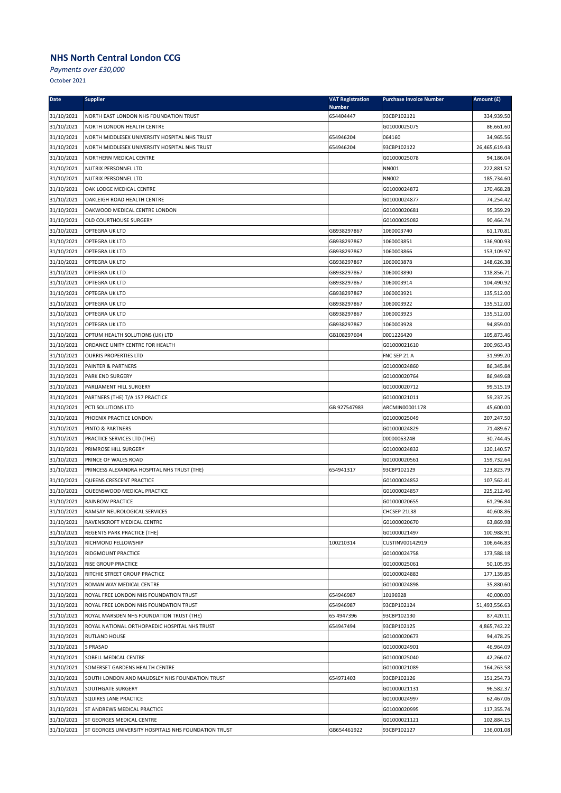*Payments over £30,000*

| <b>Date</b> | <b>Supplier</b>                                      | <b>VAT Registration</b><br><b>Number</b> | <b>Purchase Invoice Number</b> | Amount (£)    |
|-------------|------------------------------------------------------|------------------------------------------|--------------------------------|---------------|
| 31/10/2021  | NORTH EAST LONDON NHS FOUNDATION TRUST               | 654404447                                | 93CBP102121                    | 334,939.50    |
| 31/10/2021  | NORTH LONDON HEALTH CENTRE                           |                                          | G01000025075                   | 86,661.60     |
| 31/10/2021  | NORTH MIDDLESEX UNIVERSITY HOSPITAL NHS TRUST        | 654946204                                | 064160                         | 34,965.56     |
| 31/10/2021  | NORTH MIDDLESEX UNIVERSITY HOSPITAL NHS TRUST        | 654946204                                | 93CBP102122                    | 26,465,619.43 |
| 31/10/2021  | NORTHERN MEDICAL CENTRE                              |                                          | G01000025078                   | 94,186.04     |
| 31/10/2021  | NUTRIX PERSONNEL LTD                                 |                                          | NN001                          | 222,881.52    |
| 31/10/2021  | NUTRIX PERSONNEL LTD                                 |                                          | <b>NN002</b>                   | 185,734.60    |
| 31/10/2021  | OAK LODGE MEDICAL CENTRE                             |                                          | G01000024872                   | 170,468.28    |
| 31/10/2021  | OAKLEIGH ROAD HEALTH CENTRE                          |                                          | G01000024877                   | 74,254.42     |
| 31/10/2021  | OAKWOOD MEDICAL CENTRE LONDON                        |                                          | G01000020681                   | 95,359.29     |
| 31/10/2021  | OLD COURTHOUSE SURGERY                               |                                          | G01000025082                   | 90,464.74     |
| 31/10/2021  | OPTEGRA UK LTD                                       | GB938297867                              | 1060003740                     | 61,170.81     |
| 31/10/2021  | OPTEGRA UK LTD                                       | GB938297867                              | 1060003851                     | 136,900.93    |
| 31/10/2021  | OPTEGRA UK LTD                                       | GB938297867                              | 1060003866                     | 153,109.97    |
| 31/10/2021  | OPTEGRA UK LTD                                       | GB938297867                              | 1060003878                     | 148,626.38    |
| 31/10/2021  | OPTEGRA UK LTD                                       | GB938297867                              | 1060003890                     | 118,856.71    |
| 31/10/2021  | OPTEGRA UK LTD                                       | GB938297867                              | 1060003914                     | 104,490.92    |
| 31/10/2021  | OPTEGRA UK LTD                                       | GB938297867                              | 1060003921                     | 135,512.00    |
| 31/10/2021  | OPTEGRA UK LTD                                       | GB938297867                              | 1060003922                     | 135,512.00    |
| 31/10/2021  | OPTEGRA UK LTD                                       | GB938297867                              | 1060003923                     | 135,512.00    |
| 31/10/2021  | OPTEGRA UK LTD                                       | GB938297867                              | 1060003928                     | 94,859.00     |
| 31/10/2021  | OPTUM HEALTH SOLUTIONS (UK) LTD                      | GB108297604                              | 0001226420                     | 105,873.46    |
| 31/10/2021  | ORDANCE UNITY CENTRE FOR HEALTH                      |                                          | G01000021610                   | 200,963.43    |
| 31/10/2021  | <b>OURRIS PROPERTIES LTD</b>                         |                                          | FNC SEP 21 A                   | 31,999.20     |
| 31/10/2021  | PAINTER & PARTNERS                                   |                                          | G01000024860                   | 86,345.84     |
| 31/10/2021  | PARK END SURGERY                                     |                                          | G01000020764                   | 86,949.68     |
| 31/10/2021  | PARLIAMENT HILL SURGERY                              |                                          | G01000020712                   | 99,515.19     |
| 31/10/2021  | PARTNERS (THE) T/A 157 PRACTICE                      |                                          | G01000021011                   | 59,237.25     |
| 31/10/2021  | PCTI SOLUTIONS LTD                                   | GB 927547983                             | ARCMIN00001178                 | 45,600.00     |
| 31/10/2021  | PHOENIX PRACTICE LONDON                              |                                          | G01000025049                   | 207,247.50    |
| 31/10/2021  | PINTO & PARTNERS                                     |                                          | G01000024829                   | 71,489.67     |
| 31/10/2021  | PRACTICE SERVICES LTD (THE)                          |                                          | 0000006324B                    | 30,744.45     |
| 31/10/2021  | PRIMROSE HILL SURGERY                                |                                          | G01000024832                   | 120,140.57    |
| 31/10/2021  | PRINCE OF WALES ROAD                                 |                                          | G01000020561                   | 159,732.64    |
| 31/10/2021  | PRINCESS ALEXANDRA HOSPITAL NHS TRUST (THE)          | 654941317                                | 93CBP102129                    | 123,823.79    |
| 31/10/2021  | QUEENS CRESCENT PRACTICE                             |                                          | G01000024852                   | 107,562.41    |
| 31/10/2021  | QUEENSWOOD MEDICAL PRACTICE                          |                                          | G01000024857                   | 225,212.46    |
| 31/10/2021  | RAINBOW PRACTICE                                     |                                          | G01000020655                   | 61,296.84     |
| 31/10/2021  | RAMSAY NEUROLOGICAL SERVICES                         |                                          | CHCSEP 21L38                   | 40,608.86     |
| 31/10/2021  | RAVENSCROFT MEDICAL CENTRE                           |                                          | G01000020670                   | 63,869.98     |
| 31/10/2021  | REGENTS PARK PRACTICE (THE)                          |                                          | G01000021497                   | 100,988.91    |
| 31/10/2021  | RICHMOND FELLOWSHIP                                  | 100210314                                | CUSTINV00142919                | 106,646.83    |
| 31/10/2021  | RIDGMOUNT PRACTICE                                   |                                          | G01000024758                   | 173,588.18    |
| 31/10/2021  | RISE GROUP PRACTICE                                  |                                          | G01000025061                   | 50,105.95     |
| 31/10/2021  | RITCHIE STREET GROUP PRACTICE                        |                                          | G01000024883                   | 177,139.85    |
| 31/10/2021  | ROMAN WAY MEDICAL CENTRE                             |                                          | G01000024898                   | 35,880.60     |
| 31/10/2021  | ROYAL FREE LONDON NHS FOUNDATION TRUST               | 654946987                                | 10196928                       | 40,000.00     |
| 31/10/2021  | ROYAL FREE LONDON NHS FOUNDATION TRUST               | 654946987                                | 93CBP102124                    | 51,493,556.63 |
| 31/10/2021  | ROYAL MARSDEN NHS FOUNDATION TRUST (THE)             | 65 49 47396                              | 93CBP102130                    | 87,420.11     |
| 31/10/2021  | ROYAL NATIONAL ORTHOPAEDIC HOSPITAL NHS TRUST        | 654947494                                | 93CBP102125                    | 4,865,742.22  |
| 31/10/2021  | RUTLAND HOUSE                                        |                                          | G01000020673                   | 94,478.25     |
| 31/10/2021  | <b>S PRASAD</b>                                      |                                          | G01000024901                   | 46,964.09     |
| 31/10/2021  | SOBELL MEDICAL CENTRE                                |                                          | G01000025040                   | 42,266.07     |
| 31/10/2021  | SOMERSET GARDENS HEALTH CENTRE                       |                                          | G01000021089                   | 164,263.58    |
| 31/10/2021  | SOUTH LONDON AND MAUDSLEY NHS FOUNDATION TRUST       | 654971403                                | 93CBP102126                    | 151,254.73    |
| 31/10/2021  | SOUTHGATE SURGERY                                    |                                          | G01000021131                   | 96,582.37     |
| 31/10/2021  | SQUIRES LANE PRACTICE                                |                                          | G01000024997                   | 62,467.06     |
| 31/10/2021  | ST ANDREWS MEDICAL PRACTICE                          |                                          | G01000020995                   | 117,355.74    |
| 31/10/2021  | ST GEORGES MEDICAL CENTRE                            |                                          | G01000021121                   | 102,884.15    |
| 31/10/2021  | ST GEORGES UNIVERSITY HOSPITALS NHS FOUNDATION TRUST | GB654461922                              | 93CBP102127                    | 136,001.08    |